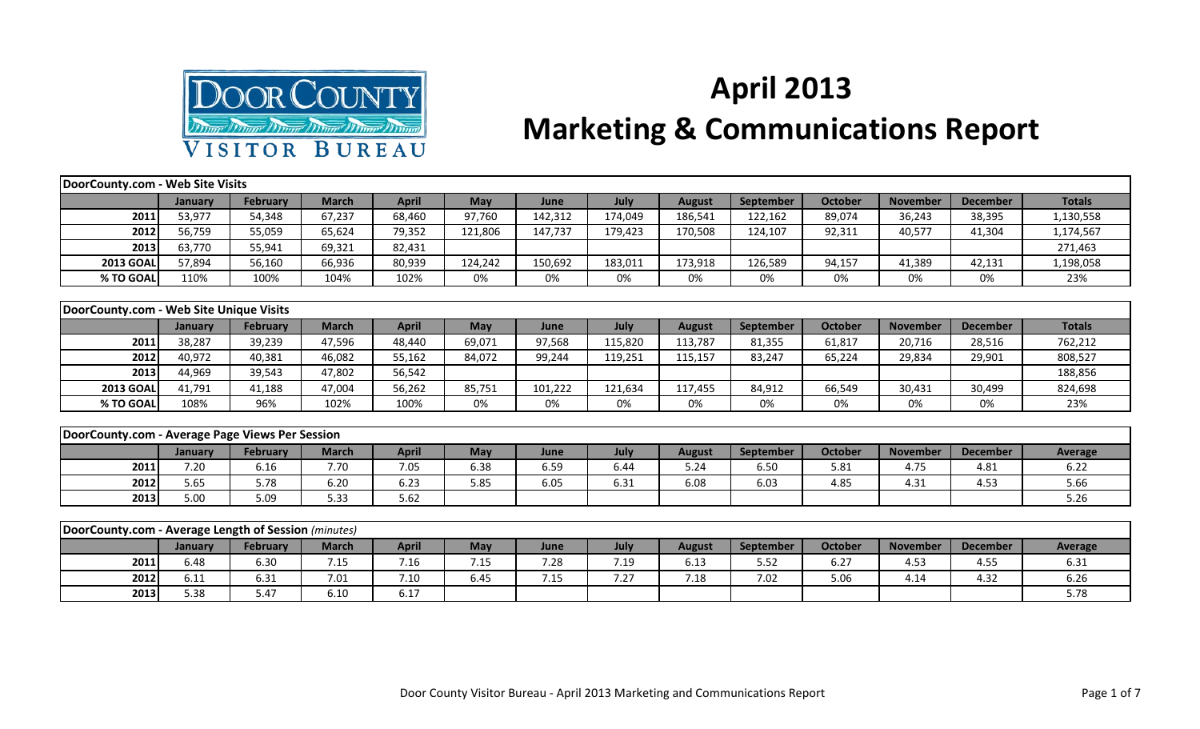

## **April 2013 Marketing & Communications Report**

| DoorCounty.com - Web Site Visits                     |         |                 |              |              |            |         |         |               |                  |                |                 |                 |                |
|------------------------------------------------------|---------|-----------------|--------------|--------------|------------|---------|---------|---------------|------------------|----------------|-----------------|-----------------|----------------|
|                                                      | January | February        | <b>March</b> | <b>April</b> | <b>May</b> | June    | July    | <b>August</b> | <b>September</b> | <b>October</b> | <b>November</b> | <b>December</b> | <b>Totals</b>  |
| 2011                                                 | 53,977  | 54,348          | 67,237       | 68,460       | 97,760     | 142,312 | 174,049 | 186,541       | 122,162          | 89,074         | 36,243          | 38,395          | 1,130,558      |
| 2012                                                 | 56,759  | 55,059          | 65,624       | 79,352       | 121,806    | 147,737 | 179,423 | 170,508       | 124,107          | 92,311         | 40,577          | 41,304          | 1,174,567      |
| 2013                                                 | 63,770  | 55,941          | 69,321       | 82,431       |            |         |         |               |                  |                |                 |                 | 271,463        |
| <b>2013 GOAL</b>                                     | 57,894  | 56,160          | 66,936       | 80,939       | 124,242    | 150,692 | 183,011 | 173,918       | 126,589          | 94,157         | 41,389          | 42,131          | 1,198,058      |
| % TO GOAL                                            | 110%    | 100%            | 104%         | 102%         | 0%         | 0%      | 0%      | 0%            | 0%               | 0%             | 0%              | 0%              | 23%            |
|                                                      |         |                 |              |              |            |         |         |               |                  |                |                 |                 |                |
| DoorCounty.com - Web Site Unique Visits              |         |                 |              |              |            |         |         |               |                  |                |                 |                 |                |
|                                                      | January | <b>February</b> | <b>March</b> | <b>April</b> | May        | June    | July    | <b>August</b> | September        | <b>October</b> | <b>November</b> | <b>December</b> | <b>Totals</b>  |
| 2011                                                 | 38,287  | 39,239          | 47,596       | 48,440       | 69,071     | 97,568  | 115,820 | 113,787       | 81,355           | 61,817         | 20,716          | 28,516          | 762,212        |
| 2012                                                 | 40,972  | 40,381          | 46,082       | 55,162       | 84,072     | 99,244  | 119,251 | 115,157       | 83,247           | 65,224         | 29,834          | 29,901          | 808,527        |
| 2013                                                 | 44,969  | 39,543          | 47,802       | 56,542       |            |         |         |               |                  |                |                 |                 | 188,856        |
| <b>2013 GOAL</b>                                     | 41,791  | 41,188          | 47,004       | 56,262       | 85,751     | 101,222 | 121,634 | 117,455       | 84,912           | 66,549         | 30,431          | 30,499          | 824,698        |
| % TO GOAL                                            | 108%    | 96%             | 102%         | 100%         | 0%         | 0%      | 0%      | 0%            | 0%               | 0%             | 0%              | 0%              | 23%            |
|                                                      |         |                 |              |              |            |         |         |               |                  |                |                 |                 |                |
| DoorCounty.com - Average Page Views Per Session      |         |                 |              |              |            |         |         |               |                  |                |                 |                 |                |
|                                                      | January | February        | <b>March</b> | <b>April</b> | May        | June    | July    | <b>August</b> | September        | <b>October</b> | <b>November</b> | <b>December</b> | <b>Average</b> |
| 2011                                                 | 7.20    | 6.16            | 7.70         | 7.05         | 6.38       | 6.59    | 6.44    | 5.24          | 6.50             | 5.81           | 4.75            | 4.81            | 6.22           |
| 2012                                                 | 5.65    | 5.78            | 6.20         | 6.23         | 5.85       | 6.05    | 6.31    | 6.08          | 6.03             | 4.85           | 4.31            | 4.53            | 5.66           |
| 2013                                                 | 5.00    | 5.09            | 5.33         | 5.62         |            |         |         |               |                  |                |                 |                 | 5.26           |
|                                                      |         |                 |              |              |            |         |         |               |                  |                |                 |                 |                |
| DoorCounty.com - Average Length of Session (minutes) |         |                 |              |              |            |         |         |               |                  |                |                 |                 |                |
|                                                      | January | February        | <b>March</b> | <b>April</b> | May        | June    | July    | <b>August</b> | <b>September</b> | <b>October</b> | <b>November</b> | <b>December</b> | <b>Average</b> |
| 2011                                                 | 6.48    | 6.30            | 7.15         | 7.16         | 7.15       | 7.28    | 7.19    | 6.13          | 5.52             | 6.27           | 4.53            | 4.55            | 6.31           |

**2012** 6.11 6.31 7.01 7.10 6.45 7.15 7.27 7.18 7.02 5.06 4.14 4.32 6.26 **2013** 5.38 5.38 5.47 6.10 6.17 5.78 5.17 5.78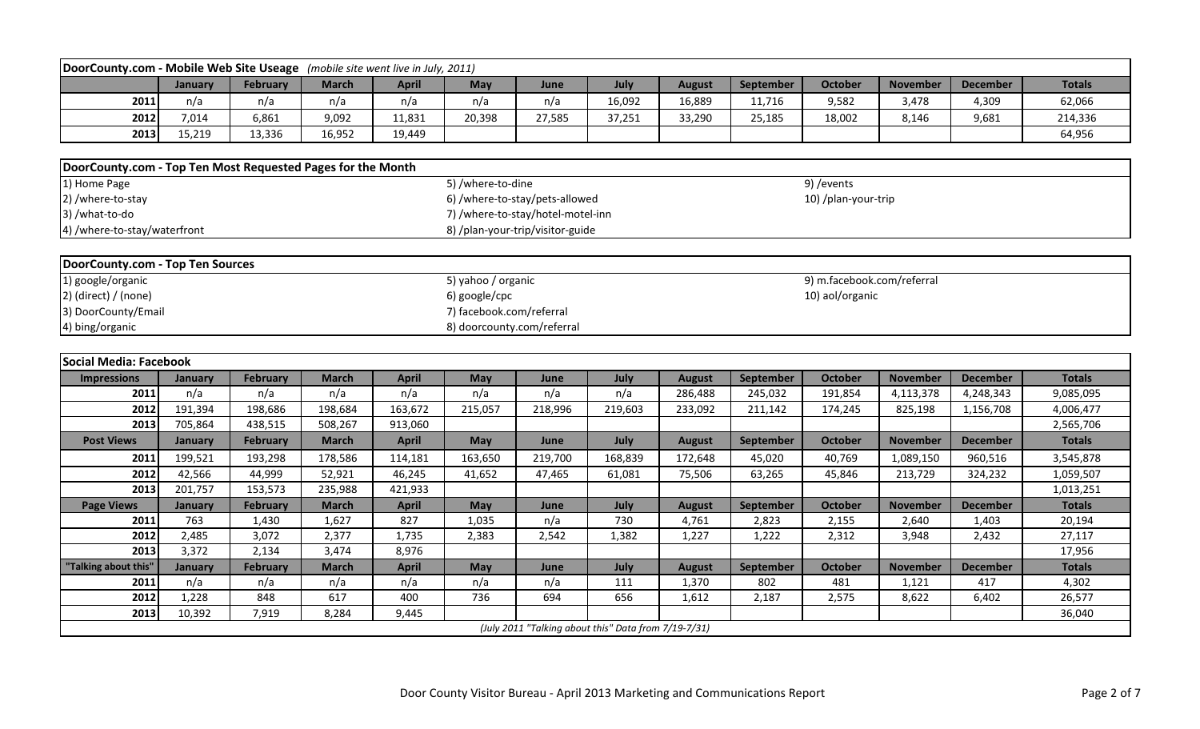| DoorCounty.com - Mobile Web Site Useage (mobile site went live in July, 2011) |                                                                                      |                 |              |              |                                   |         |                                                      |               |                  |                     |                 |                 |               |  |  |
|-------------------------------------------------------------------------------|--------------------------------------------------------------------------------------|-----------------|--------------|--------------|-----------------------------------|---------|------------------------------------------------------|---------------|------------------|---------------------|-----------------|-----------------|---------------|--|--|
|                                                                               | January                                                                              | February        | <b>March</b> | <b>April</b> | May                               | June    | July                                                 | <b>August</b> | September        | <b>October</b>      | <b>November</b> | <b>December</b> | <b>Totals</b> |  |  |
| 2011                                                                          | n/a                                                                                  | n/a             | n/a          | n/a          | n/a                               | n/a     | 16,092                                               | 16,889        | 11,716           | 9,582               | 3,478           | 4,309           | 62,066        |  |  |
| 2012                                                                          | 7,014                                                                                | 6,861           | 9,092        | 11,831       | 20,398                            | 27,585  | 37,251                                               | 33,290        | 25,185           | 18,002              | 8,146           | 9,681           | 214,336       |  |  |
| 2013                                                                          | 15,219                                                                               | 13,336          | 16,952       | 19,449       |                                   |         |                                                      |               |                  |                     |                 |                 | 64,956        |  |  |
|                                                                               |                                                                                      |                 |              |              |                                   |         |                                                      |               |                  |                     |                 |                 |               |  |  |
| DoorCounty.com - Top Ten Most Requested Pages for the Month                   |                                                                                      |                 |              |              |                                   |         |                                                      |               |                  |                     |                 |                 |               |  |  |
| 1) Home Page                                                                  |                                                                                      |                 |              |              | 5) /where-to-dine                 |         |                                                      |               |                  | 9) / events         |                 |                 |               |  |  |
| 2) /where-to-stay                                                             |                                                                                      |                 |              |              | 6) /where-to-stay/pets-allowed    |         |                                                      |               |                  | 10) /plan-your-trip |                 |                 |               |  |  |
| 3) /what-to-do                                                                |                                                                                      |                 |              |              | 7) /where-to-stay/hotel-motel-inn |         |                                                      |               |                  |                     |                 |                 |               |  |  |
| 4) /where-to-stay/waterfront                                                  |                                                                                      |                 |              |              | 8) /plan-your-trip/visitor-guide  |         |                                                      |               |                  |                     |                 |                 |               |  |  |
|                                                                               |                                                                                      |                 |              |              |                                   |         |                                                      |               |                  |                     |                 |                 |               |  |  |
| DoorCounty.com - Top Ten Sources                                              |                                                                                      |                 |              |              |                                   |         |                                                      |               |                  |                     |                 |                 |               |  |  |
| 1) google/organic                                                             | 5) yahoo / organic<br>9) m.facebook.com/referral<br>6) google/cpc<br>10) aol/organic |                 |              |              |                                   |         |                                                      |               |                  |                     |                 |                 |               |  |  |
| $2)$ (direct) / (none)                                                        | 7) facebook.com/referral                                                             |                 |              |              |                                   |         |                                                      |               |                  |                     |                 |                 |               |  |  |
| 3) DoorCounty/Email                                                           | 8) doorcounty.com/referral                                                           |                 |              |              |                                   |         |                                                      |               |                  |                     |                 |                 |               |  |  |
| 4) bing/organic                                                               |                                                                                      |                 |              |              |                                   |         |                                                      |               |                  |                     |                 |                 |               |  |  |
|                                                                               |                                                                                      |                 |              |              |                                   |         |                                                      |               |                  |                     |                 |                 |               |  |  |
| Social Media: Facebook                                                        |                                                                                      |                 |              |              |                                   |         |                                                      |               |                  |                     |                 |                 |               |  |  |
| <b>Impressions</b>                                                            | January                                                                              | <b>February</b> | <b>March</b> | <b>April</b> | May                               | June    | July                                                 | <b>August</b> | September        | October             | <b>November</b> | <b>December</b> | <b>Totals</b> |  |  |
| 2011                                                                          | n/a                                                                                  | n/a             | n/a          | n/a          | n/a                               | n/a     | n/a                                                  | 286,488       | 245,032          | 191,854             | 4,113,378       | 4,248,343       | 9,085,095     |  |  |
| 2012                                                                          | 191,394                                                                              | 198,686         | 198,684      | 163,672      | 215,057                           | 218,996 | 219,603                                              | 233,092       | 211,142          | 174,245             | 825,198         | 1,156,708       | 4,006,477     |  |  |
| 2013                                                                          | 705,864                                                                              | 438,515         | 508,267      | 913,060      |                                   |         |                                                      |               |                  |                     |                 |                 | 2,565,706     |  |  |
| <b>Post Views</b>                                                             | January                                                                              | February        | <b>March</b> | <b>April</b> | May                               | June    | July                                                 | <b>August</b> | September        | <b>October</b>      | <b>November</b> | <b>December</b> | <b>Totals</b> |  |  |
| 2011                                                                          | 199,521                                                                              | 193,298         | 178,586      | 114,181      | 163,650                           | 219,700 | 168,839                                              | 172,648       | 45,020           | 40,769              | 1,089,150       | 960,516         | 3,545,878     |  |  |
| 2012                                                                          | 42,566                                                                               | 44,999          | 52,921       | 46,245       | 41,652                            | 47,465  | 61,081                                               | 75,506        | 63,265           | 45,846              | 213,729         | 324,232         | 1,059,507     |  |  |
| 2013                                                                          | 201,757                                                                              | 153,573         | 235,988      | 421,933      |                                   |         |                                                      |               |                  |                     |                 |                 | 1,013,251     |  |  |
| <b>Page Views</b>                                                             | January                                                                              | <b>February</b> | <b>March</b> | <b>April</b> | May                               | June    | July                                                 | <b>August</b> | <b>September</b> | <b>October</b>      | <b>November</b> | <b>December</b> | <b>Totals</b> |  |  |
| 2011                                                                          | 763                                                                                  | 1,430           | 1,627        | 827          | 1,035                             | n/a     | 730                                                  | 4,761         | 2,823            | 2,155               | 2,640           | 1,403           | 20,194        |  |  |
| 2012                                                                          | 2,485                                                                                | 3,072           | 2,377        | 1,735        | 2,383                             | 2,542   | 1,382                                                | 1,227         | 1,222            | 2,312               | 3,948           | 2,432           | 27,117        |  |  |
| 2013                                                                          | 3,372                                                                                | 2,134           | 3,474        | 8,976        |                                   |         |                                                      |               |                  |                     |                 |                 | 17,956        |  |  |
| 'Talking about this'                                                          | <b>January</b>                                                                       | <b>February</b> | <b>March</b> | <b>April</b> | May                               | June    | July                                                 | <b>August</b> | September        | <b>October</b>      | <b>November</b> | <b>December</b> | <b>Totals</b> |  |  |
| 2011                                                                          | n/a                                                                                  | n/a             | n/a          | n/a          | n/a                               | n/a     | 111                                                  | 1,370         | 802              | 481                 | 1,121           | 417             | 4,302         |  |  |
| 2012                                                                          | 1,228                                                                                | 848             | 617          | 400          | 736                               | 694     | 656                                                  | 1,612         | 2,187            | 2,575               | 8,622           | 6,402           | 26,577        |  |  |
|                                                                               |                                                                                      |                 |              |              |                                   |         |                                                      |               |                  |                     |                 |                 |               |  |  |
| 2013                                                                          | 10,392                                                                               | 7,919           | 8,284        | 9,445        |                                   |         | (July 2011 "Talking about this" Data from 7/19-7/31) |               |                  |                     |                 |                 | 36,040        |  |  |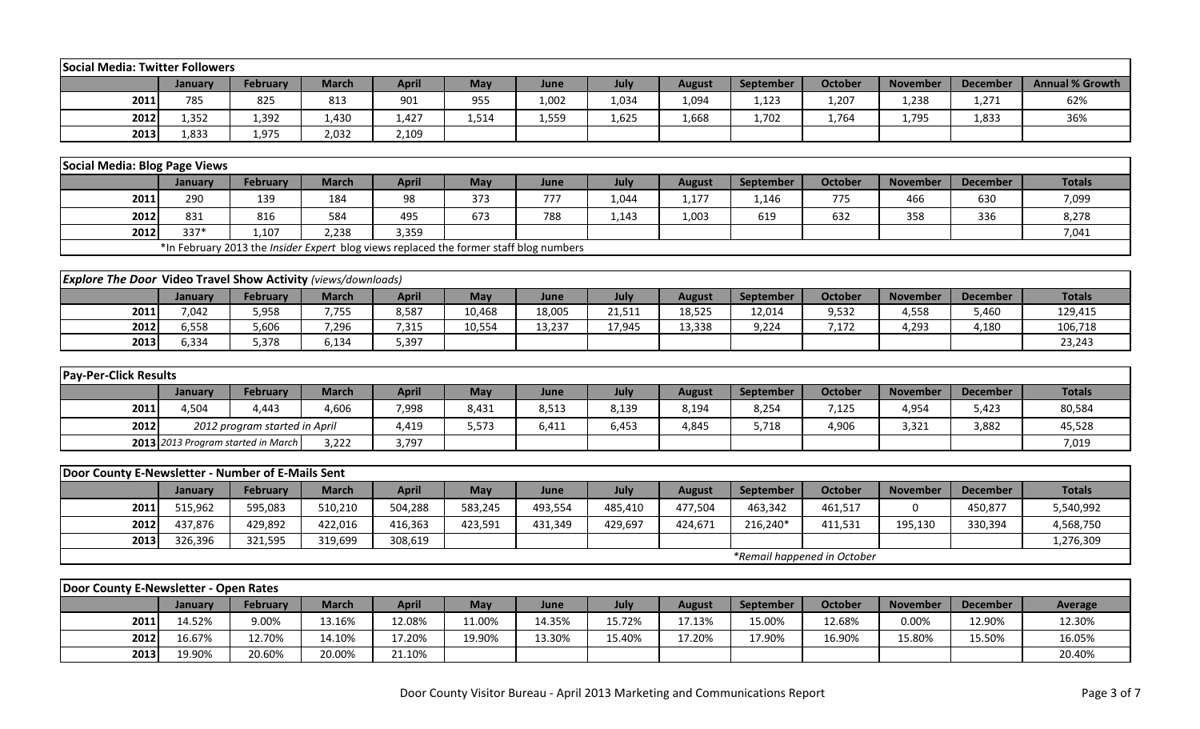| Social Media: Twitter Followers                                      |                          |                                                                                        |              |              |               |                |                |                         |                     |                             |                          |                           |                          |
|----------------------------------------------------------------------|--------------------------|----------------------------------------------------------------------------------------|--------------|--------------|---------------|----------------|----------------|-------------------------|---------------------|-----------------------------|--------------------------|---------------------------|--------------------------|
|                                                                      | January                  | <b>February</b>                                                                        | <b>March</b> | <b>April</b> | <b>May</b>    | June           | July           | <b>August</b>           | <b>September</b>    | <b>October</b>              | <b>November</b>          | <b>December</b>           | <b>Annual % Growth</b>   |
| 2011                                                                 | 785                      | 825                                                                                    | 813          | 901          | 955           | 1,002          | 1,034          | 1,094                   | 1,123               | 1,207                       | 1,238                    | 1,271                     | 62%                      |
| 2012                                                                 | 1,352                    | 1,392                                                                                  | 1,430        | 1,427        | 1,514         | 1,559          | 1,625          | 1,668                   | 1,702               | 1,764                       | 1,795                    | 1,833                     | 36%                      |
| 2013                                                                 | 1,833                    | 1,975                                                                                  | 2,032        | 2,109        |               |                |                |                         |                     |                             |                          |                           |                          |
|                                                                      |                          |                                                                                        |              |              |               |                |                |                         |                     |                             |                          |                           |                          |
| Social Media: Blog Page Views                                        |                          |                                                                                        |              |              |               |                |                |                         |                     |                             |                          |                           |                          |
|                                                                      | January                  | <b>February</b>                                                                        | <b>March</b> | <b>April</b> | May           | June           | July           | <b>August</b>           | September           | <b>October</b>              | <b>November</b>          | <b>December</b>           | <b>Totals</b>            |
| 2011                                                                 | 290                      | 139                                                                                    | 184          | 98           | 373           | 777            | 1,044          | 1,177                   | 1,146               | 775                         | 466                      | 630                       | 7,099                    |
| 2012                                                                 | 831                      | 816                                                                                    | 584          | 495          | 673           | 788            | 1,143          | 1,003                   | 619                 | 632                         | 358                      | 336                       | 8,278                    |
| 2012                                                                 | 337*                     | 1,107                                                                                  | 2,238        | 3,359        |               |                |                |                         |                     |                             |                          |                           | 7,041                    |
|                                                                      |                          | *In February 2013 the Insider Expert blog views replaced the former staff blog numbers |              |              |               |                |                |                         |                     |                             |                          |                           |                          |
|                                                                      |                          |                                                                                        |              |              |               |                |                |                         |                     |                             |                          |                           |                          |
| <b>Explore The Door Video Travel Show Activity (views/downloads)</b> |                          |                                                                                        |              |              |               |                |                |                         |                     |                             |                          |                           |                          |
|                                                                      | January                  | <b>February</b>                                                                        | <b>March</b> | <b>April</b> | May           | June           | July           | <b>August</b>           | <b>September</b>    | <b>October</b>              | <b>November</b>          | <b>December</b>           | <b>Totals</b>            |
| 2011                                                                 | 7,042                    | 5,958                                                                                  | 7,755        | 8,587        | 10,468        | 18,005         | 21,511         | 18,525                  | 12,014              | 9,532                       | 4,558                    | 5,460                     | 129,415                  |
| 2012                                                                 | 6,558                    | 5,606                                                                                  | 7,296        | 7,315        | 10,554        | 13,237         | 17,945         | 13,338                  | 9,224               | 7,172                       | 4,293                    | 4,180                     | 106,718                  |
| 2013                                                                 | 6,334                    | 5,378                                                                                  | 6,134        | 5,397        |               |                |                |                         |                     |                             |                          |                           | 23,243                   |
|                                                                      |                          |                                                                                        |              |              |               |                |                |                         |                     |                             |                          |                           |                          |
| <b>Pay-Per-Click Results</b>                                         |                          |                                                                                        |              |              |               |                |                |                         |                     |                             |                          |                           |                          |
|                                                                      | January                  | <b>February</b>                                                                        | <b>March</b> | <b>April</b> | May           | June           | July           | <b>August</b>           | September           | <b>October</b>              | <b>November</b>          | <b>December</b>           | <b>Totals</b>            |
| 2011                                                                 | 4,504                    | 4,443                                                                                  | 4,606        | 7,998        | 8,431         | 8,513          | 8,139          | 8,194                   | 8,254               | 7,125                       | 4,954                    | 5,423                     | 80,584                   |
| 2012                                                                 |                          | 2012 program started in April                                                          |              | 4,419        | 5,573         | 6,411          | 6,453          | 4,845                   | 5,718               | 4,906                       | 3,321                    | 3,882                     | 45,528                   |
|                                                                      |                          | 2013 2013 Program started in March                                                     | 3,222        | 3,797        |               |                |                |                         |                     |                             |                          |                           | 7,019                    |
|                                                                      |                          |                                                                                        |              |              |               |                |                |                         |                     |                             |                          |                           |                          |
| Door County E-Newsletter - Number of E-Mails Sent                    |                          |                                                                                        |              |              |               |                |                |                         |                     |                             |                          |                           |                          |
|                                                                      | January                  | <b>February</b>                                                                        | <b>March</b> | <b>April</b> | May           | June           | July           | <b>August</b>           | September           | <b>October</b>              | <b>November</b>          | <b>December</b>           | <b>Totals</b>            |
| 2011                                                                 | 515,962                  | 595,083                                                                                | 510,210      | 504,288      | 583,245       | 493,554        | 485,410        | 477,504                 | 463,342             | 461,517                     | 0                        | 450,877                   | 5,540,992                |
| 2012                                                                 | 437,876                  | 429,892                                                                                | 422,016      | 416,363      | 423,591       | 431,349        | 429,697        | 424,671                 | 216,240*            | 411,531                     | 195,130                  | 330,394                   | 4,568,750                |
| 2013                                                                 | 326,396                  | 321,595                                                                                | 319,699      | 308,619      |               |                |                |                         |                     |                             |                          |                           | 1,276,309                |
|                                                                      |                          |                                                                                        |              |              |               |                |                |                         |                     | *Remail happened in October |                          |                           |                          |
| Door County E-Newsletter - Open Rates                                |                          |                                                                                        |              |              |               |                |                |                         |                     |                             |                          |                           |                          |
|                                                                      |                          |                                                                                        | <b>March</b> |              |               |                |                |                         |                     |                             |                          |                           |                          |
| 2011                                                                 | <b>January</b><br>14.52% | February<br>9.00%                                                                      | 13.16%       | <b>April</b> | May<br>11.00% | June<br>14.35% | July<br>15.72% | <b>August</b><br>17.13% | September<br>15.00% | <b>October</b>              | <b>November</b><br>0.00% | <b>December</b><br>12.90% | <b>Average</b><br>12.30% |
|                                                                      |                          |                                                                                        |              | 12.08%       |               |                |                |                         |                     | 12.68%                      |                          |                           |                          |
| 2012                                                                 | 16.67%                   | 12.70%                                                                                 | 14.10%       | 17.20%       | 19.90%        | 13.30%         | 15.40%         | 17.20%                  | 17.90%              | 16.90%                      | 15.80%                   | 15.50%                    | 16.05%                   |
| 2013                                                                 | 19.90%                   | 20.60%                                                                                 | 20.00%       | 21.10%       |               |                |                |                         |                     |                             |                          |                           | 20.40%                   |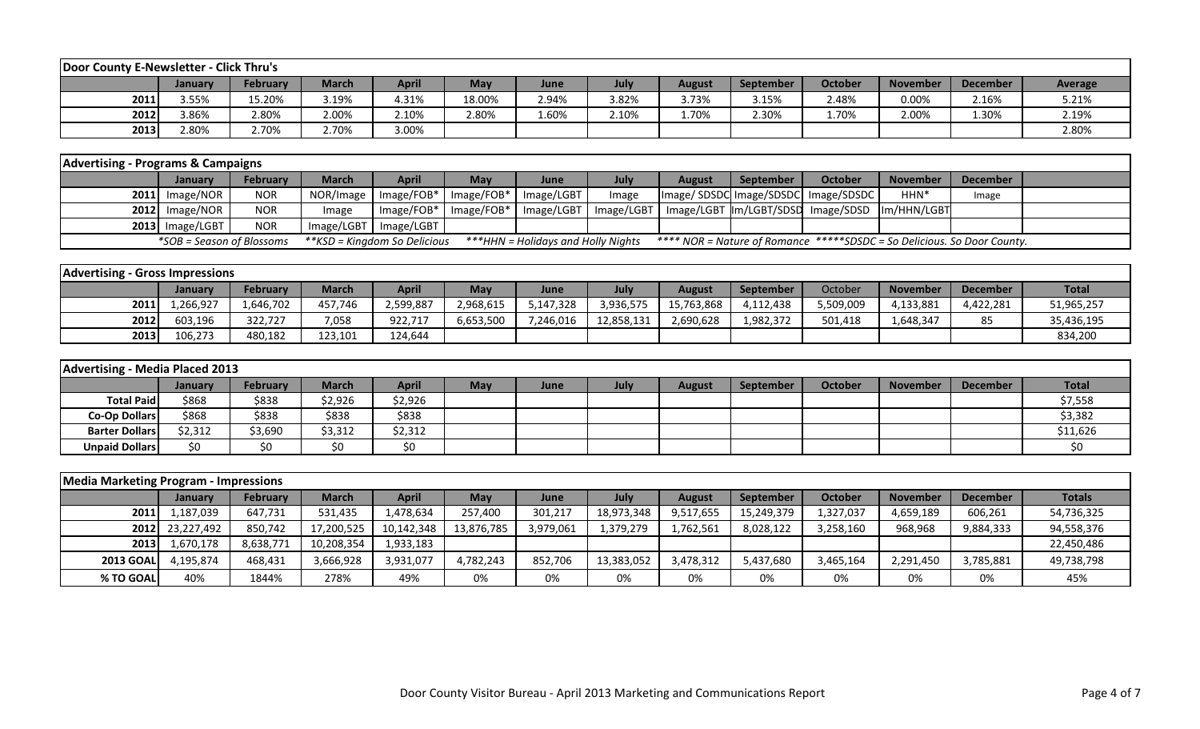| Door County E-Newsletter - Click Thru's |         |                 |              |       |            |       |       |               |                  |         |                 |                 |         |
|-----------------------------------------|---------|-----------------|--------------|-------|------------|-------|-------|---------------|------------------|---------|-----------------|-----------------|---------|
|                                         | January | <b>February</b> | <b>March</b> | April | <b>May</b> | June  | July  | <b>August</b> | <b>September</b> | October | <b>November</b> | <b>December</b> | Average |
| 2011                                    | 3.55%   | 15.20%          | 3.19%        | 4.31% | 18.00%     | 2.94% | 3.82% | 3.73%         | 3.15%            | 2.48%   | 0.00%           | 2.16%           | 5.21%   |
| 2012                                    | 3.86%   | 2.80%           | 2.00%        | 2.10% | 2.80%      | 1.60% | 2.10% | 1.70%         | 2.30%            | 1.70%   | 2.00%           | 1.30%           | 2.19%   |
| 2013                                    | 2.80%   | 2.70%           | 2.70%        | 3.00% |            |       |       |               |                  |         |                 |                 | 2.80%   |

| <b>Advertising - Programs &amp; Campaigns</b> |                           |                 |                              |                                     |     |                                    |       |        |                  |                                                                         |                  |          |  |
|-----------------------------------------------|---------------------------|-----------------|------------------------------|-------------------------------------|-----|------------------------------------|-------|--------|------------------|-------------------------------------------------------------------------|------------------|----------|--|
|                                               | <b>January</b>            | <b>February</b> | <b>March</b>                 | April                               | May | <b>June</b>                        | July  | August | <b>September</b> | October                                                                 | <b>November</b>  | December |  |
|                                               | $2011$ Image/NOR          | <b>NOR</b>      |                              | NOR/Image   Image/FOB*   Image/FOB* |     | Image/LGBT                         | Image |        |                  | Image/SDSDC Image/SDSDC Image/SDSDC                                     | HHN <sup>*</sup> | Image    |  |
|                                               | $2012$ Image/NOR          | <b>NOR</b>      | Image                        | $Image/FOB*$   $Image/FOB*$         |     |                                    |       |        |                  | Image/LGBT   Image/LGBT   Image/LGBT   Im/LGBT/SDSD   Image/SDSD        | Im/HHN/LGBT      |          |  |
|                                               | 2013 Image/LGBT           | <b>NOR</b>      | Image/LGBT                   | Image/LGBT                          |     |                                    |       |        |                  |                                                                         |                  |          |  |
|                                               | *SOB = Season of Blossoms |                 | **KSD = Kingdom So Delicious |                                     |     | ***HHN = Holidays and Holly Nights |       |        |                  | **** NOR = Nature of Romance *****SDSDC = So Delicious. So Door County. |                  |          |  |

| <b>Advertising - Gross Impressions</b> |                |           |              |              |           |           |            |               |                  |           |                 |                 |              |
|----------------------------------------|----------------|-----------|--------------|--------------|-----------|-----------|------------|---------------|------------------|-----------|-----------------|-----------------|--------------|
|                                        | <b>January</b> | February  | <b>March</b> | <b>April</b> | May       | June      | July       | <b>August</b> | <b>September</b> | October   | <b>November</b> | <b>December</b> | <b>Total</b> |
| 2011                                   | .,266,927      | 1,646,702 | 457,746      | 2,599,887    | 2,968,615 | 5,147,328 | 3,936,575  | 15,763,868    | 4,112,438        | 5,509,009 | 4,133,881       | 4,422,281       | 51,965,257   |
| 2012                                   | 603,196        | 322,727   | 7,058        | 922,717      | 6,653,500 | 7,246,016 | 12,858,131 | 2,690,628     | 1,982,372        | 501,418   | 1,648,347       | $\sim$ $\sim$   | 35,436,195   |
| 2013                                   | 106,273        | 480,182   | 123,101      | 124,644      |           |           |            |               |                  |           |                 |                 | 834,200      |

| Advertising - Media Placed 2013 |         |                 |              |              |     |      |      |        |                  |         |                 |          |              |
|---------------------------------|---------|-----------------|--------------|--------------|-----|------|------|--------|------------------|---------|-----------------|----------|--------------|
|                                 | January | <b>February</b> | <b>March</b> | <b>April</b> | May | June | July | August | <b>September</b> | October | <b>November</b> | December | <b>Total</b> |
| <b>Total Paid</b>               | \$868   | \$838           | \$2,926      | \$2,926      |     |      |      |        |                  |         |                 |          | \$7,558      |
| Co-Op Dollars                   | \$868   | \$838           | \$838        | \$838        |     |      |      |        |                  |         |                 |          | \$3,382      |
| <b>Barter Dollars</b>           | \$2,312 | \$3,690         | \$3,312      | \$2,312      |     |      |      |        |                  |         |                 |          | \$11,626     |
| <b>Unpaid Dollars</b>           | \$0     | \$0             |              |              |     |      |      |        |                  |         |                 |          |              |

| <b>Media Marketing Program - Impressions</b> |                 |           |              |              |            |           |            |               |            |           |                 |                 |               |
|----------------------------------------------|-----------------|-----------|--------------|--------------|------------|-----------|------------|---------------|------------|-----------|-----------------|-----------------|---------------|
|                                              | <b>January</b>  | February  | <b>March</b> | <b>April</b> | May        | June      | July       | <b>August</b> | September  | October   | <b>November</b> | <b>December</b> | <b>Totals</b> |
| 2011                                         | 1,187,039       | 647,731   | 531,435      | 1,478,634    | 257,400    | 301,217   | 18,973,348 | 9,517,655     | 15,249,379 | 1,327,037 | 4,659,189       | 606,261         | 54,736,325    |
|                                              | 2012 23,227,492 | 850,742   | 17,200,525   | 10,142,348   | 13,876,785 | 3,979,061 | 1,379,279  | 1,762,561     | 8,028,122  | 3,258,160 | 968,968         | 9,884,333       | 94,558,376    |
| 2013                                         | 1,670,178       | 8,638,771 | 10,208,354   | 1,933,183    |            |           |            |               |            |           |                 |                 | 22,450,486    |
| <b>2013 GOAL</b>                             | 4.195.874       | 468,431   | 3,666,928    | 3,931,077    | 4,782,243  | 852.706   | 13,383,052 | 3,478,312     | 5,437,680  | 3,465,164 | 2,291,450       | 3,785,881       | 49,738,798    |
| % TO GOAL                                    | 40%             | 1844%     | 278%         | 49%          | 0%         | 0%        | 0%         | 0%            | 0%         | 0%        | 0%              | 0%              | 45%           |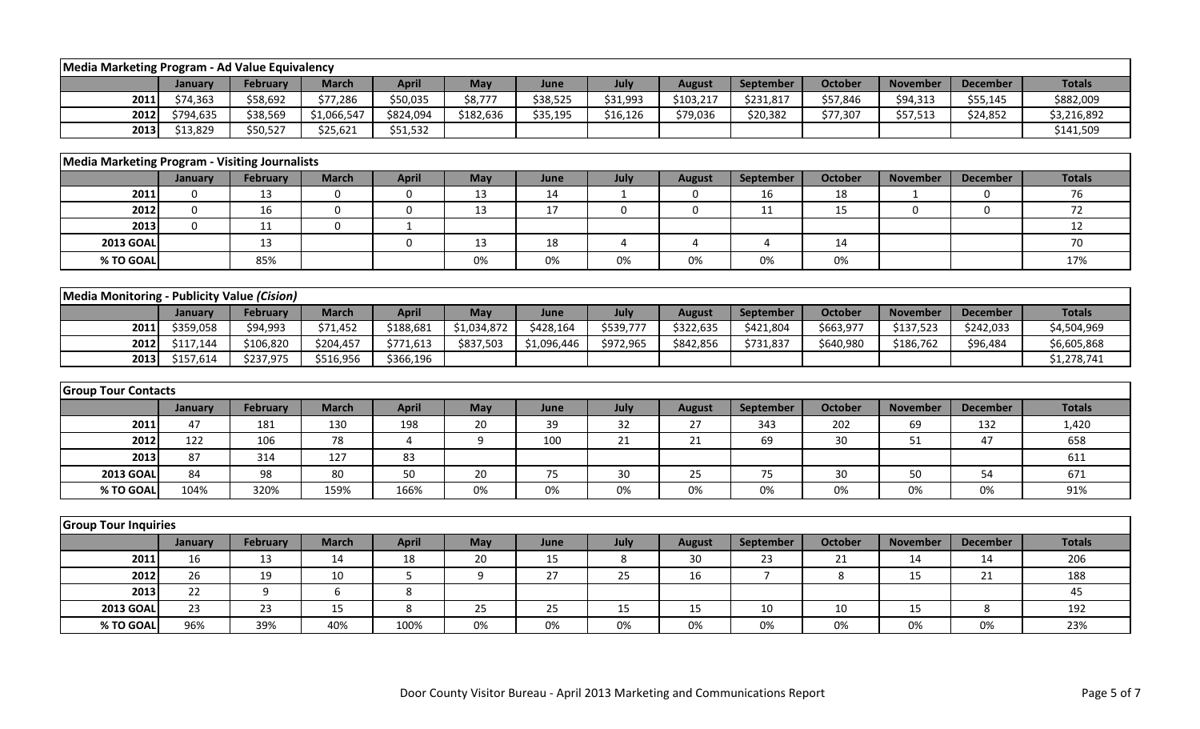| Media Marketing Program - Ad Value Equivalency        |                  |                 |                  |                  |                |             |              |               |                         |                |                 |                 |               |
|-------------------------------------------------------|------------------|-----------------|------------------|------------------|----------------|-------------|--------------|---------------|-------------------------|----------------|-----------------|-----------------|---------------|
|                                                       | January          | <b>February</b> | <b>March</b>     | <b>April</b>     | May            | June        | July         | <b>August</b> | September               | <b>October</b> | <b>November</b> | <b>December</b> | <b>Totals</b> |
| 2011                                                  | \$74,363         | \$58,692        | \$77,286         | \$50,035         | \$8,777        | \$38,525    | \$31,993     | \$103,217     | \$231,817               | \$57,846       | \$94,313        | \$55,145        | \$882,009     |
| 2012                                                  | \$794,635        | \$38,569        | \$1,066,547      | \$824,094        | \$182,636      | \$35,195    | \$16,126     | \$79,036      | \$20,382                | \$77,307       | \$57,513        | \$24,852        | \$3,216,892   |
| 2013                                                  | \$13,829         | \$50,527        | \$25,621         | \$51,532         |                |             |              |               |                         |                |                 |                 | \$141,509     |
|                                                       |                  |                 |                  |                  |                |             |              |               |                         |                |                 |                 |               |
| <b>Media Marketing Program - Visiting Journalists</b> |                  |                 |                  |                  |                |             |              |               |                         |                |                 |                 |               |
|                                                       | January          | <b>February</b> | <b>March</b>     | <b>April</b>     | May            | June        | July         | <b>August</b> | September               | <b>October</b> | <b>November</b> | <b>December</b> | <b>Totals</b> |
| 2011                                                  | 0                | 13              | 0                | 0                | 13             | 14          | $\mathbf{1}$ | 0             | 16                      | 18             | 1               | 0               | 76            |
| 2012                                                  | $\boldsymbol{0}$ | 16              | $\boldsymbol{0}$ | $\boldsymbol{0}$ | 13             | 17          | $\mathbf 0$  | 0             | 11                      | 15             | 0               | 0               | 72            |
| 2013                                                  | $\mathbf 0$      | 11              | $\mathbf 0$      | $\mathbf{1}$     |                |             |              |               |                         |                |                 |                 | 12            |
| <b>2013 GOAL</b>                                      |                  | 13              |                  | $\pmb{0}$        | 13             | 18          | 4            | 4             | $\overline{\mathbf{4}}$ | 14             |                 |                 | 70            |
| % TO GOAL                                             |                  | 85%             |                  |                  | 0%             | 0%          | 0%           | 0%            | 0%                      | 0%             |                 |                 | 17%           |
|                                                       |                  |                 |                  |                  |                |             |              |               |                         |                |                 |                 |               |
| Media Monitoring - Publicity Value (Cision)           |                  |                 |                  |                  |                |             |              |               |                         |                |                 |                 |               |
|                                                       | January          | February        | <b>March</b>     | <b>April</b>     | May            | June        | July         | <b>August</b> | September               | <b>October</b> | <b>November</b> | <b>December</b> | <b>Totals</b> |
| 2011                                                  | \$359,058        | \$94,993        | \$71,452         | \$188,681        | \$1,034,872    | \$428,164   | \$539,777    | \$322,635     | \$421,804               | \$663,977      | \$137,523       | \$242,033       | \$4,504,969   |
| 2012                                                  | \$117,144        | \$106,820       | \$204,457        | \$771,613        | \$837,503      | \$1,096,446 | \$972,965    | \$842,856     | \$731,837               | \$640,980      | \$186,762       | \$96,484        | \$6,605,868   |
| 2013                                                  | \$157,614        | \$237,975       | \$516,956        | \$366,196        |                |             |              |               |                         |                |                 |                 | \$1,278,741   |
|                                                       |                  |                 |                  |                  |                |             |              |               |                         |                |                 |                 |               |
| <b>Group Tour Contacts</b>                            |                  |                 |                  |                  |                |             |              |               |                         |                |                 |                 |               |
|                                                       | January          | <b>February</b> | <b>March</b>     | <b>April</b>     | May            | June        | July         | <b>August</b> | September               | <b>October</b> | <b>November</b> | <b>December</b> | <b>Totals</b> |
| 2011                                                  | 47               | 181             | 130              | 198              | 20             | 39          | 32           | 27            | 343                     | 202            | 69              | 132             | 1,420         |
| 2012                                                  | 122              | 106             | 78               | 4                | 9              | 100         | 21           | 21            | 69                      | 30             | 51              | 47              | 658           |
| 2013                                                  | 87               | 314             | 127              | 83               |                |             |              |               |                         |                |                 |                 | 611           |
| <b>2013 GOAL</b>                                      | 84               | 98              | 80               | 50               | 20             | 75          | 30           | 25            | 75                      | 30             | 50              | 54              | 671           |
| % TO GOAL                                             | 104%             | 320%            | 159%             | 166%             | 0%             | 0%          | 0%           | 0%            | 0%                      | 0%             | 0%              | 0%              | 91%           |
|                                                       |                  |                 |                  |                  |                |             |              |               |                         |                |                 |                 |               |
| <b>Group Tour Inquiries</b>                           |                  |                 |                  |                  |                |             |              |               |                         |                |                 |                 |               |
|                                                       | January          | February        | <b>March</b>     | <b>April</b>     | May            | June        | July         | <b>August</b> | <b>September</b>        | <b>October</b> | <b>November</b> | <b>December</b> | <b>Totals</b> |
| 2011                                                  | 16               | 13              | 14               | 18               | 20             | 15          | 8            | 30            | 23                      | 21             | 14              | 14              | 206           |
| 2012                                                  | 26               | 19              | 10               | 5                | $\overline{9}$ | 27          | 25           | 16            | $\overline{7}$          | 8              | 15              | 21              | 188           |
| 2013                                                  | 22               | 9               | 6                | 8                |                |             |              |               |                         |                |                 |                 | 45            |
| <b>2013 GOAL</b>                                      | 23               | 23              | 15               | 8                | 25             | 25          | 15           | 15            | 10                      | 10             | 15              | 8               | 192           |
| % TO GOAL                                             | 96%              | 39%             | 40%              | 100%             | 0%             | 0%          | 0%           | 0%            | 0%                      | 0%             | 0%              | 0%              | 23%           |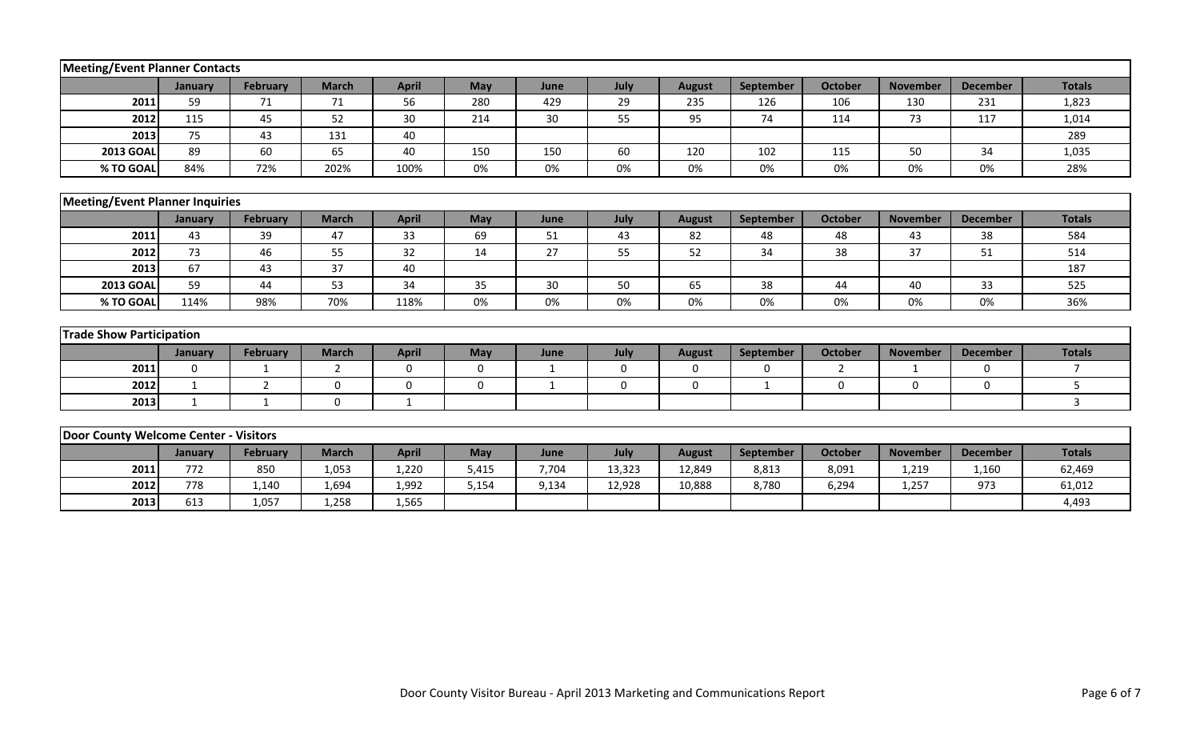| Meeting/Event Planner Contacts         |              |                 |              |              |              |              |             |               |             |                |                 |                 |                |
|----------------------------------------|--------------|-----------------|--------------|--------------|--------------|--------------|-------------|---------------|-------------|----------------|-----------------|-----------------|----------------|
|                                        | January      | <b>February</b> | <b>March</b> | <b>April</b> | May          | June         | July        | <b>August</b> | September   | <b>October</b> | <b>November</b> | <b>December</b> | <b>Totals</b>  |
| 2011                                   | 59           | 71              | 71           | 56           | 280          | 429          | 29          | 235           | 126         | 106            | 130             | 231             | 1,823          |
| 2012                                   | 115          | 45              | 52           | 30           | 214          | 30           | 55          | 95            | 74          | 114            | 73              | 117             | 1,014          |
| 2013                                   | 75           | 43              | 131          | 40           |              |              |             |               |             |                |                 |                 | 289            |
| <b>2013 GOAL</b>                       | 89           | 60              | 65           | 40           | 150          | 150          | 60          | 120           | 102         | 115            | 50              | 34              | 1,035          |
| % TO GOAL                              | 84%          | 72%             | 202%         | 100%         | 0%           | 0%           | 0%          | 0%            | 0%          | 0%             | 0%              | 0%              | 28%            |
|                                        |              |                 |              |              |              |              |             |               |             |                |                 |                 |                |
| <b>Meeting/Event Planner Inquiries</b> |              |                 |              |              |              |              |             |               |             |                |                 |                 |                |
|                                        | January      | February        | <b>March</b> | <b>April</b> | May          | June         | July        | <b>August</b> | September   | <b>October</b> | <b>November</b> | <b>December</b> | <b>Totals</b>  |
| 2011                                   | 43           | 39              | 47           | 33           | 69           | 51           | 43          | 82            | 48          | 48             | 43              | 38              | 584            |
| 2012                                   | 73           | 46              | 55           | 32           | 14           | 27           | 55          | 52            | 34          | 38             | 37              | 51              | 514            |
| 2013                                   | 67           | 43              | 37           | 40           |              |              |             |               |             |                |                 |                 | 187            |
| <b>2013 GOAL</b>                       | 59           | 44              | 53           | 34           | 35           | 30           | 50          | 65            | 38          | 44             | 40              | 33              | 525            |
| % TO GOAL                              | 114%         | 98%             | 70%          | 118%         | 0%           | 0%           | 0%          | 0%            | 0%          | 0%             | 0%              | 0%              | 36%            |
|                                        |              |                 |              |              |              |              |             |               |             |                |                 |                 |                |
| <b>Trade Show Participation</b>        |              |                 |              |              |              |              |             |               |             |                |                 |                 |                |
|                                        | January      | February        | <b>March</b> | <b>April</b> | May          | June         | July        | <b>August</b> | September   | <b>October</b> | <b>November</b> | <b>December</b> | <b>Totals</b>  |
| 2011                                   | $\mathbf 0$  | $\mathbf{1}$    | 2            | $\mathbf 0$  | $\mathbf 0$  | $\mathbf{1}$ | $\mathbf 0$ | $\mathbf 0$   | $\mathbf 0$ | $\overline{2}$ | $\mathbf{1}$    | $\mathbf 0$     | $\overline{7}$ |
| 2012                                   | $\mathbf{1}$ | 2               | $\Omega$     | $\mathbf 0$  | $\mathbf{0}$ | $\mathbf{1}$ | 0           | $\mathbf 0$   | 1           | 0              | $\Omega$        | $\Omega$        | 5              |
| 2013                                   | 1            | $\mathbf{1}$    | $\mathbf 0$  | $\mathbf 1$  |              |              |             |               |             |                |                 |                 | $\mathbf{3}$   |
|                                        |              |                 |              |              |              |              |             |               |             |                |                 |                 |                |
| Door County Welcome Center - Visitors  |              |                 |              |              |              |              |             |               |             |                |                 |                 |                |
|                                        | January      | <b>February</b> | <b>March</b> | <b>April</b> | May          | June         | July        | <b>August</b> | September   | <b>October</b> | <b>November</b> | <b>December</b> | <b>Totals</b>  |
| 2011                                   | 772          | 850             | 1,053        | 1,220        | 5,415        | 7,704        | 13,323      | 12,849        | 8,813       | 8,091          | 1,219           | 1,160           | 62,469         |
| 2012                                   | 778          | 1,140           | 1,694        | 1,992        | 5,154        | 9,134        | 12,928      | 10,888        | 8,780       | 6,294          | 1,257           | 973             | 61,012         |
| 2013                                   | 613          | 1,057           | 1,258        | 1,565        |              |              |             |               |             |                |                 |                 | 4,493          |